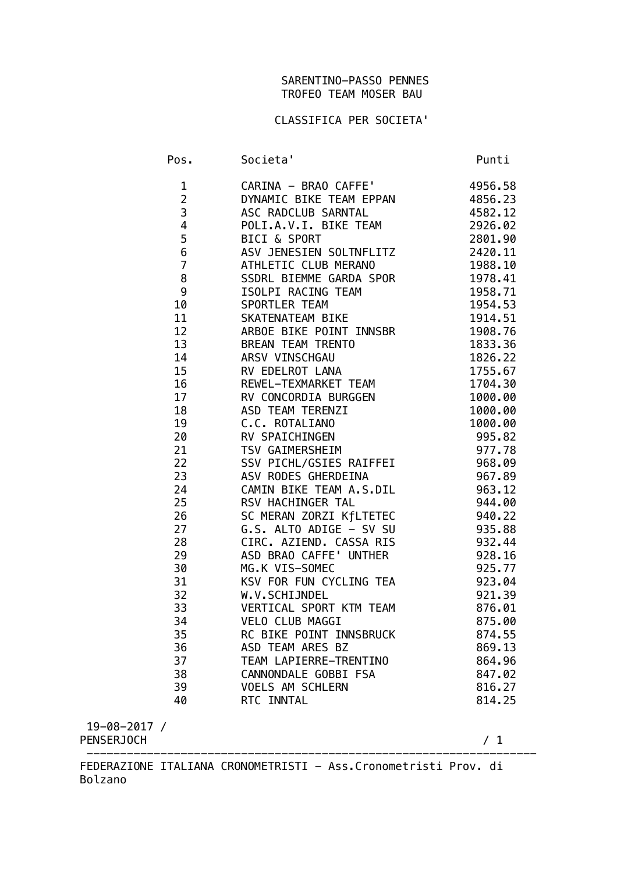## SARENTINO-PASSO PENNES TROFEO TEAM MOSER BAU

## CLASSIFICA PER SOCIETA'

| Pos.                           | Societa'                                        | Punti              |
|--------------------------------|-------------------------------------------------|--------------------|
| $\mathbf{1}$<br>$\overline{2}$ | CARINA - BRAO CAFFE'<br>DYNAMIC BIKE TEAM EPPAN | 4956.58<br>4856.23 |
| 3                              | ASC RADCLUB SARNTAL                             | 4582.12            |
| $\overline{\mathbf{4}}$        | POLI.A.V.I. BIKE TEAM                           | 2926.02            |
| 5                              | <b>BICI &amp; SPORT</b>                         | 2801.90            |
| $\bf 6$                        | ASV JENESIEN SOLTNFLITZ                         | 2420.11            |
| $\overline{7}$                 |                                                 | 1988.10            |
| 8                              | ATHLETIC CLUB MERANO<br>SSDRL BIEMME GARDA SPOR | 1978.41            |
| 9                              | ISOLPI RACING TEAM                              | 1958.71            |
| 10                             | SPORTLER TEAM                                   | 1954.53            |
| 11                             | SKATENATEAM BIKE                                | 1914.51            |
| 12                             | ARBOE BIKE POINT INNSBR                         | 1908.76            |
| 13                             | BREAN TEAM TRENTO                               | 1833.36            |
| 14                             | ARSV VINSCHGAU                                  | 1826.22            |
| 15                             | RV EDELROT LANA                                 | 1755.67            |
| 16                             | REWEL-TEXMARKET TEAM                            | 1704.30            |
| 17                             | RV CONCORDIA BURGGEN                            | 1000.00            |
| 18                             | ASD TEAM TERENZI                                | 1000.00            |
| 19                             | C.C. ROTALIANO                                  | 1000.00            |
| 20                             | RV SPAICHINGEN                                  | 995.82             |
| 21                             | TSV GAIMERSHEIM                                 | 977.78             |
| 22                             | SSV PICHL/GSIES RAIFFEI                         | 968.09             |
| 23                             | ASV RODES GHERDEINA                             | 967.89             |
| 24                             | CAMIN BIKE TEAM A.S.DIL                         | 963.12             |
| 25                             | RSV HACHINGER TAL                               | 944.00             |
| 26                             | SC MERAN ZORZI KfLTETEC                         | 940.22             |
| 27                             | G.S. ALTO ADIGE - SV SU                         | 935.88             |
| 28                             | CIRC. AZIEND. CASSA RIS                         | 932.44             |
| 29                             | ASD BRAO CAFFE' UNTHER                          | 928.16             |
| 30                             | MG.K VIS-SOMEC                                  | 925.77             |
| 31                             | KSV FOR FUN CYCLING TEA                         | 923.04             |
| 32                             | W.V.SCHIJNDEL                                   | 921.39             |
| 33                             | VERTICAL SPORT KTM TEAM                         | 876.01             |
| 34                             | VELO CLUB MAGGI                                 | 875.00             |
| 35                             | RC BIKE POINT INNSBRUCK                         | 874.55             |
| 36                             | ASD TEAM ARES BZ                                | 869.13             |
| 37                             | TEAM LAPIERRE-TRENTINO                          | 864.96             |
| 38                             | CANNONDALE GOBBI FSA                            | 847.02<br>816.27   |
| 39<br>40                       | VOELS AM SCHLERN<br>RTC INNTAL                  | 814.25             |
|                                |                                                 |                    |
|                                |                                                 |                    |

 19-08-2017 / PENSERJOCH / 1

FEDERAZIONE ITALIANA CRONOMETRISTI - Ass.Cronometristi Prov. di Bolzano

-------------------------------------------------------------------